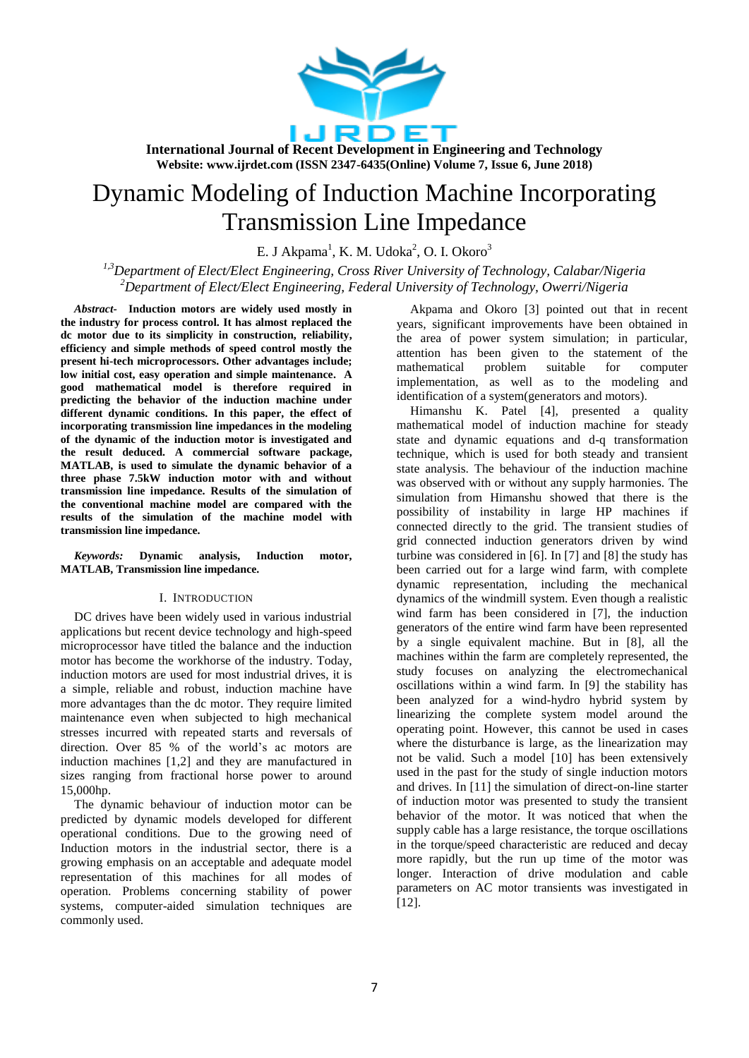

# Dynamic Modeling of Induction Machine Incorporating Transmission Line Impedance

E. J Akpama<sup>1</sup>, K. M. Udoka<sup>2</sup>, O. I. Okoro<sup>3</sup>

*1,3Department of Elect/Elect Engineering, Cross River University of Technology, Calabar/Nigeria <sup>2</sup>Department of Elect/Elect Engineering, Federal University of Technology, Owerri/Nigeria*

*Abstract-* **Induction motors are widely used mostly in the industry for process control. It has almost replaced the dc motor due to its simplicity in construction, reliability, efficiency and simple methods of speed control mostly the present hi-tech microprocessors. Other advantages include; low initial cost, easy operation and simple maintenance. A good mathematical model is therefore required in predicting the behavior of the induction machine under different dynamic conditions. In this paper, the effect of incorporating transmission line impedances in the modeling of the dynamic of the induction motor is investigated and the result deduced. A commercial software package, MATLAB, is used to simulate the dynamic behavior of a three phase 7.5kW induction motor with and without transmission line impedance. Results of the simulation of the conventional machine model are compared with the results of the simulation of the machine model with transmission line impedance.** 

#### *Keywords:* **Dynamic analysis, Induction motor, MATLAB, Transmission line impedance.**

## I. INTRODUCTION

DC drives have been widely used in various industrial applications but recent device technology and high-speed microprocessor have titled the balance and the induction motor has become the workhorse of the industry. Today, induction motors are used for most industrial drives, it is a simple, reliable and robust, induction machine have more advantages than the dc motor. They require limited maintenance even when subjected to high mechanical stresses incurred with repeated starts and reversals of direction. Over 85 % of the world's ac motors are induction machines [1,2] and they are manufactured in sizes ranging from fractional horse power to around 15,000hp.

The dynamic behaviour of induction motor can be predicted by dynamic models developed for different operational conditions. Due to the growing need of Induction motors in the industrial sector, there is a growing emphasis on an acceptable and adequate model representation of this machines for all modes of operation. Problems concerning stability of power systems, computer-aided simulation techniques are commonly used.

Akpama and Okoro [3] pointed out that in recent years, significant improvements have been obtained in the area of power system simulation; in particular, attention has been given to the statement of the mathematical problem suitable for computer implementation, as well as to the modeling and identification of a system(generators and motors).

Himanshu K. Patel [4], presented a quality mathematical model of induction machine for steady state and dynamic equations and d-q transformation technique, which is used for both steady and transient state analysis. The behaviour of the induction machine was observed with or without any supply harmonies. The simulation from Himanshu showed that there is the possibility of instability in large HP machines if connected directly to the grid. The transient studies of grid connected induction generators driven by wind turbine was considered in [6]. In [7] and [8] the study has been carried out for a large wind farm, with complete dynamic representation, including the mechanical dynamics of the windmill system. Even though a realistic wind farm has been considered in [7], the induction generators of the entire wind farm have been represented by a single equivalent machine. But in [8], all the machines within the farm are completely represented, the study focuses on analyzing the electromechanical oscillations within a wind farm. In [9] the stability has been analyzed for a wind-hydro hybrid system by linearizing the complete system model around the operating point. However, this cannot be used in cases where the disturbance is large, as the linearization may not be valid. Such a model [10] has been extensively used in the past for the study of single induction motors and drives. In [11] the simulation of direct-on-line starter of induction motor was presented to study the transient behavior of the motor. It was noticed that when the supply cable has a large resistance, the torque oscillations in the torque/speed characteristic are reduced and decay more rapidly, but the run up time of the motor was longer. Interaction of drive modulation and cable parameters on AC motor transients was investigated in [12].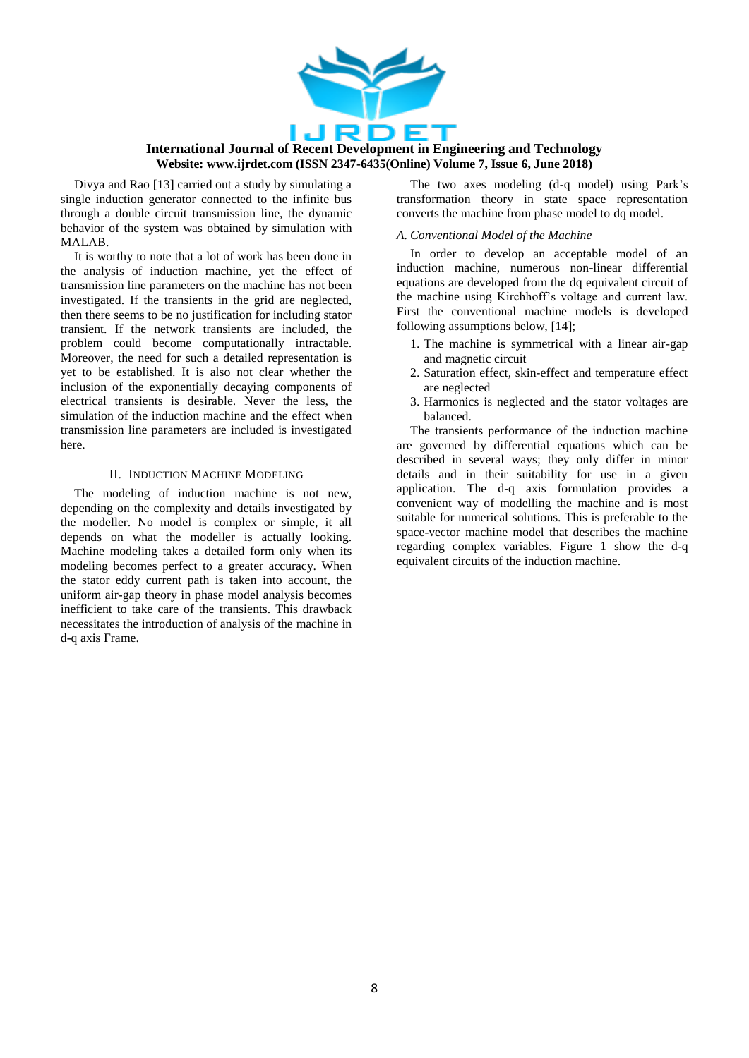

Divya and Rao [13] carried out a study by simulating a single induction generator connected to the infinite bus through a double circuit transmission line, the dynamic behavior of the system was obtained by simulation with MALAB.

It is worthy to note that a lot of work has been done in the analysis of induction machine, yet the effect of transmission line parameters on the machine has not been investigated. If the transients in the grid are neglected, then there seems to be no justification for including stator transient. If the network transients are included, the problem could become computationally intractable. Moreover, the need for such a detailed representation is yet to be established. It is also not clear whether the inclusion of the exponentially decaying components of electrical transients is desirable. Never the less, the simulation of the induction machine and the effect when transmission line parameters are included is investigated here.

## II. INDUCTION MACHINE MODELING

The modeling of induction machine is not new, depending on the complexity and details investigated by the modeller. No model is complex or simple, it all depends on what the modeller is actually looking. Machine modeling takes a detailed form only when its modeling becomes perfect to a greater accuracy. When the stator eddy current path is taken into account, the uniform air-gap theory in phase model analysis becomes inefficient to take care of the transients. This drawback necessitates the introduction of analysis of the machine in d-q axis Frame.

The two axes modeling (d-q model) using Park's transformation theory in state space representation converts the machine from phase model to dq model.

## *A. Conventional Model of the Machine*

In order to develop an acceptable model of an induction machine, numerous non-linear differential equations are developed from the dq equivalent circuit of the machine using Kirchhoff's voltage and current law. First the conventional machine models is developed following assumptions below, [14];

- 1. The machine is symmetrical with a linear air-gap and magnetic circuit
- 2. Saturation effect, skin-effect and temperature effect are neglected
- 3. Harmonics is neglected and the stator voltages are balanced.

The transients performance of the induction machine are governed by differential equations which can be described in several ways; they only differ in minor details and in their suitability for use in a given application. The d-q axis formulation provides a convenient way of modelling the machine and is most suitable for numerical solutions. This is preferable to the space-vector machine model that describes the machine regarding complex variables. Figure 1 show the d-q equivalent circuits of the induction machine.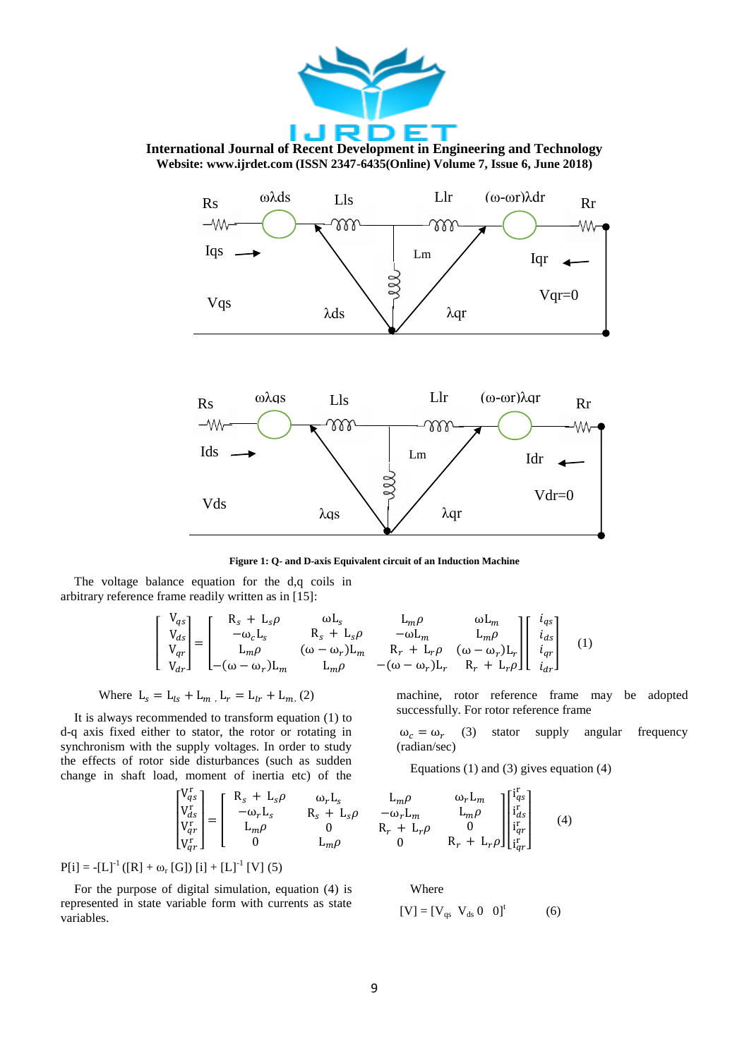





**Figure 1: Q- and D-axis Equivalent circuit of an Induction Machine**

The voltage balance equation for the d,q coils in arbitrary reference frame readily written as in [15]:

$$
\begin{bmatrix}\nV_{qs} \\
V_{ds} \\
V_{qr} \\
V_{qr}\n\end{bmatrix} = \begin{bmatrix}\nR_s + L_s \rho & \omega L_s & L_m \rho & \omega L_m \\
-\omega_c L_s & R_s + L_s \rho & -\omega L_m & L_m \rho \\
L_m \rho & (\omega - \omega_r) L_m & R_r + L_r \rho & (\omega - \omega_r) L_r \\
-(\omega - \omega_r) L_m & L_m \rho & -(\omega - \omega_r) L_r & R_r + L_r \rho\n\end{bmatrix} \begin{bmatrix}\ni_{qs} \\
i_{ds} \\
i_{qr} \\
i_{qr}\n\end{bmatrix}
$$
\n(1)

Where 
$$
L_s = L_{ls} + L_m
$$
,  $L_r = L_{lr} + L_m$ , (2)

It is always recommended to transform equation (1) to d-q axis fixed either to stator, the rotor or rotating in synchronism with the supply voltages. In order to study the effects of rotor side disturbances (such as sudden change in shaft load, moment of inertia etc) of the

$$
\begin{bmatrix} V_{qs}^r \\ V_{ds}^r \\ V_{qr}^r \\ V_{qr}^r \end{bmatrix} = \begin{bmatrix} R_s + L_s \rho & \omega_r L_s \\ -\omega_r L_s & R_s + L_s \rho \\ L_m \rho & 0 \\ 0 & L_m \rho \end{bmatrix}
$$

 $P[i] = -[L]^{-1}([R] + \omega_r[G]) [i] + [L]^{-1}[V] (5)$ 

For the purpose of digital simulation, equation (4) is represented in state variable form with currents as state variables.

machine, rotor reference frame may be adopted successfully. For rotor reference frame

$$
\omega_c = \omega_r
$$
 (3) stator supply angular frequency (radian/sec)

Equations (1) and (3) gives equation (4)

$$
\begin{array}{ccc}\nL_m \rho & \omega_r L_m \\
-\omega_r L_m & L_m \rho \\
R_r + L_r \rho & 0 \\
0 & R_r + L_r \rho\n\end{array}\n\begin{bmatrix}\ni_q^r s \\
i_d s \\
i_q^r r \\i_q^r r\end{bmatrix}
$$
\n(4)

Where

$$
[V] = [V_{qs} V_{ds} 0 0]t (6)
$$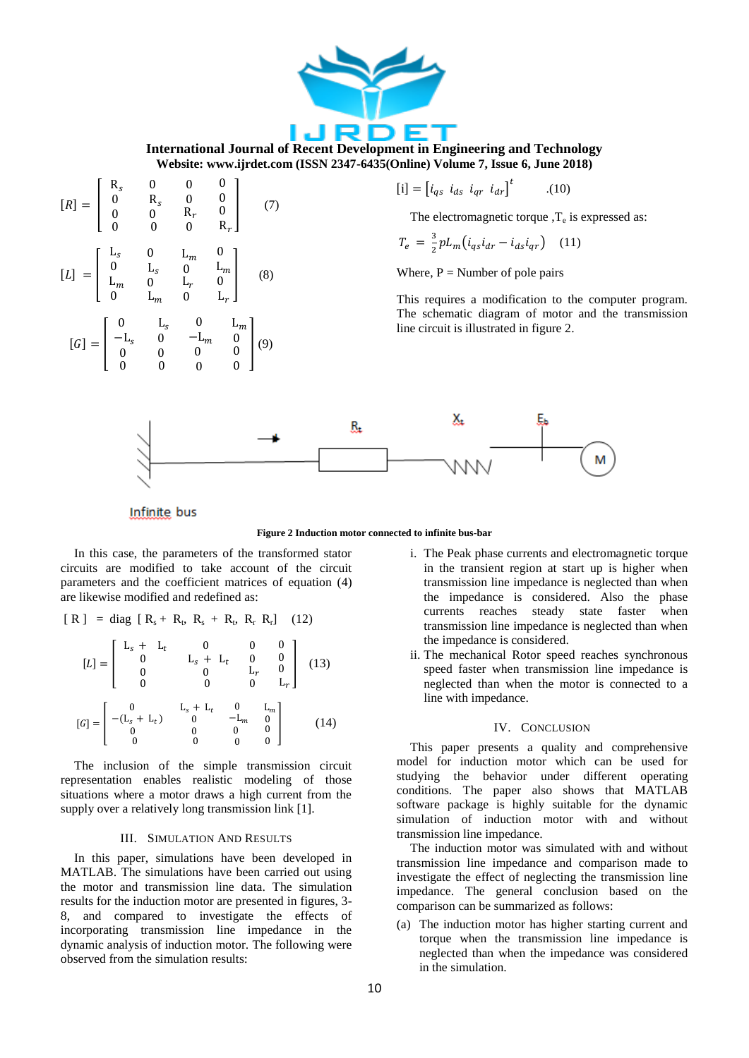



**Figure 2 Induction motor connected to infinite bus-bar**

In this case, the parameters of the transformed stator circuits are modified to take account of the circuit parameters and the coefficient matrices of equation (4) are likewise modified and redefined as:

$$
[ R ] = diag [ R_s + R_t, R_s + R_t, R_r R_r ] \quad (12)
$$

$$
[L] = \begin{bmatrix} L_s + L_t & 0 & 0 & 0 \\ 0 & L_s + L_t & 0 & 0 \\ 0 & 0 & L_r & 0 \\ 0 & 0 & 0 & L_r \end{bmatrix}
$$
 (13)

$$
[G] = \begin{bmatrix} 0 & \mathbf{L}_s + \mathbf{L}_t & 0 & \mathbf{L}_m \\ -(\mathbf{L}_s + \mathbf{L}_t) & 0 & -\mathbf{L}_m & 0 \\ 0 & 0 & 0 & 0 \\ 0 & 0 & 0 & 0 \end{bmatrix} \tag{14}
$$

The inclusion of the simple transmission circuit representation enables realistic modeling of those situations where a motor draws a high current from the supply over a relatively long transmission link [1].

#### III. SIMULATION AND RESULTS

In this paper, simulations have been developed in MATLAB. The simulations have been carried out using the motor and transmission line data. The simulation results for the induction motor are presented in figures, 3- 8, and compared to investigate the effects of incorporating transmission line impedance in the dynamic analysis of induction motor. The following were observed from the simulation results:

- i. The Peak phase currents and electromagnetic torque in the transient region at start up is higher when transmission line impedance is neglected than when the impedance is considered. Also the phase currents reaches steady state faster when transmission line impedance is neglected than when the impedance is considered.
- ii. The mechanical Rotor speed reaches synchronous speed faster when transmission line impedance is neglected than when the motor is connected to a line with impedance.

## IV. CONCLUSION

This paper presents a quality and comprehensive model for induction motor which can be used for studying the behavior under different operating conditions. The paper also shows that MATLAB software package is highly suitable for the dynamic simulation of induction motor with and without transmission line impedance.

The induction motor was simulated with and without transmission line impedance and comparison made to investigate the effect of neglecting the transmission line impedance. The general conclusion based on the comparison can be summarized as follows:

(a) The induction motor has higher starting current and torque when the transmission line impedance is neglected than when the impedance was considered in the simulation.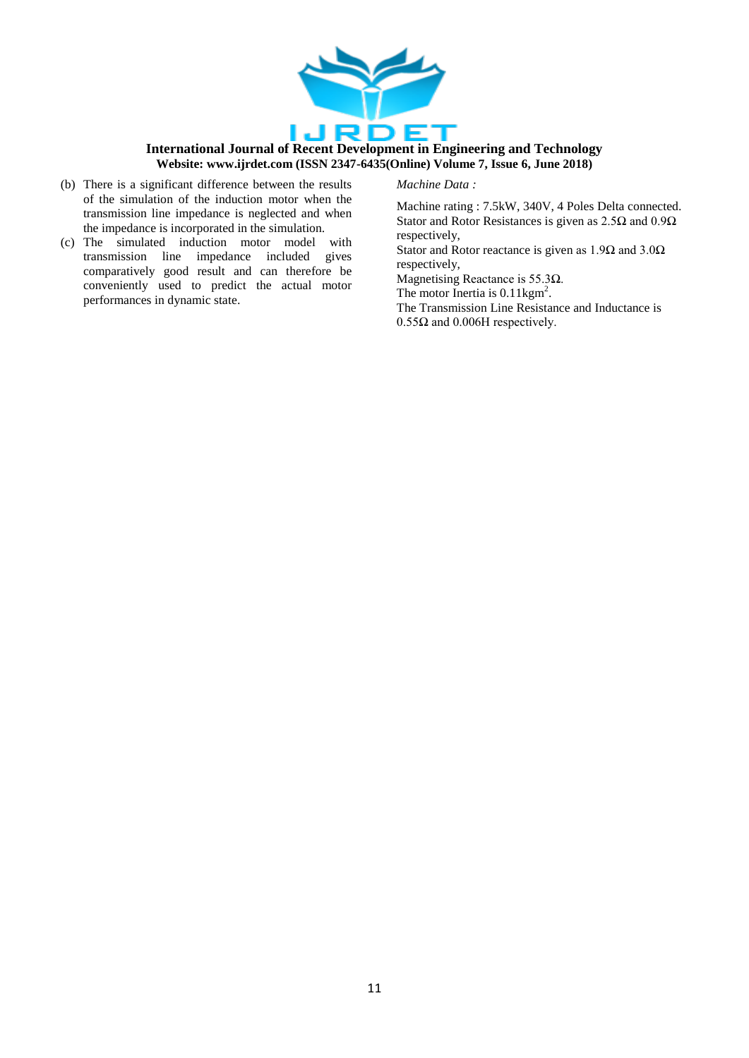

## *Machine Data :*

- (b) There is a significant difference between the results of the simulation of the induction motor when the transmission line impedance is neglected and when the impedance is incorporated in the simulation.
- (c) The simulated induction motor model with transmission line impedance included gives comparatively good result and can therefore be conveniently used to predict the actual motor performances in dynamic state.

Machine rating : 7.5kW, 340V, 4 Poles Delta connected. Stator and Rotor Resistances is given as  $2.5\Omega$  and  $0.9\Omega$ respectively,

Stator and Rotor reactance is given as  $1.9\Omega$  and  $3.0\Omega$ respectively,

Magnetising Reactance is  $55.3\Omega$ .

The motor Inertia is 0.11kgm<sup>2</sup>.

The Transmission Line Resistance and Inductance is  $0.55\Omega$  and  $0.006H$  respectively.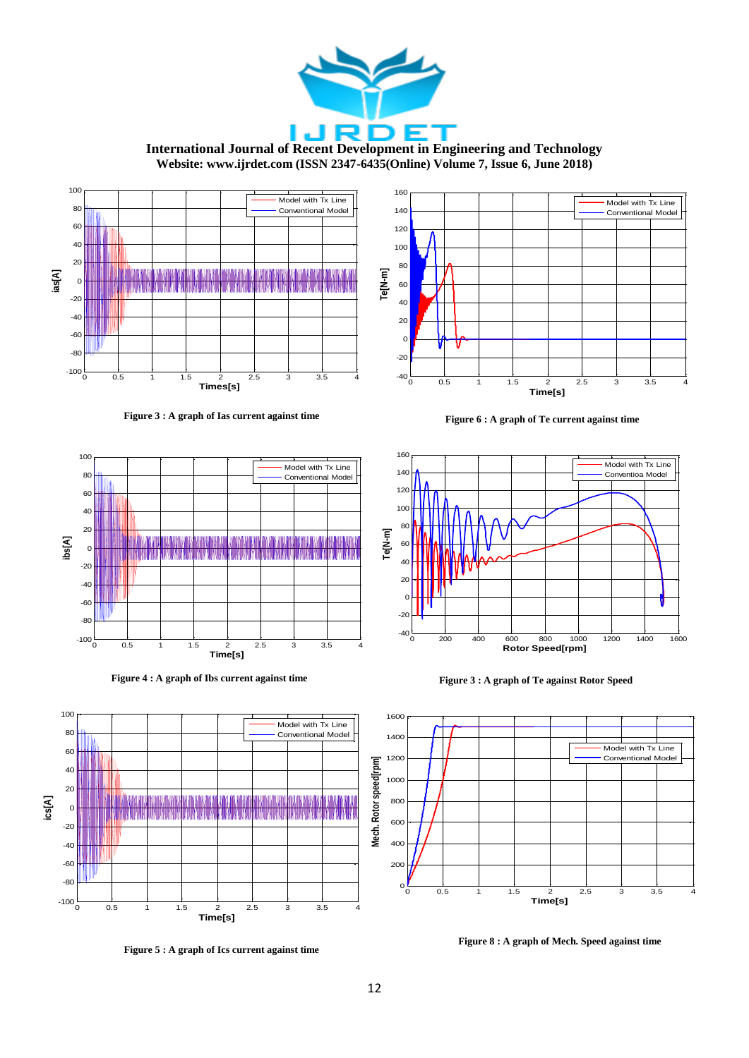

**Figure 5 : A graph of Ics current against time**

**Figure 8 : A graph of Mech. Speed against time**